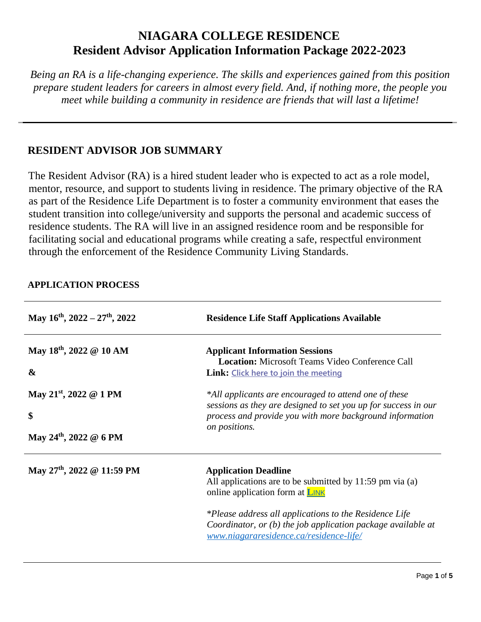# **NIAGARA COLLEGE RESIDENCE Resident Advisor Application Information Package 2022-2023**

*Being an RA is a life-changing experience. The skills and experiences gained from this position prepare student leaders for careers in almost every field. And, if nothing more, the people you meet while building a community in residence are friends that will last a lifetime!* 

## **RESIDENT ADVISOR JOB SUMMARY**

The Resident Advisor (RA) is a hired student leader who is expected to act as a role model, mentor, resource, and support to students living in residence. The primary objective of the RA as part of the Residence Life Department is to foster a community environment that eases the student transition into college/university and supports the personal and academic success of residence students. The RA will live in an assigned residence room and be responsible for facilitating social and educational programs while creating a safe, respectful environment through the enforcement of the Residence Community Living Standards.

| May $16^{th}$ , $2022 - 27^{th}$ , $2022$                                      | <b>Residence Life Staff Applications Available</b>                                                                                                                                                                                                                                                     |
|--------------------------------------------------------------------------------|--------------------------------------------------------------------------------------------------------------------------------------------------------------------------------------------------------------------------------------------------------------------------------------------------------|
| May $18^{th}$ , 2022 @ 10 AM<br>$\boldsymbol{\&}$                              | <b>Applicant Information Sessions</b><br><b>Location:</b> Microsoft Teams Video Conference Call<br><b>Link:</b> Click here to join the meeting                                                                                                                                                         |
| May 21 <sup>st</sup> , 2022 @ 1 PM<br>\$<br>May 24 <sup>th</sup> , 2022 @ 6 PM | *All applicants are encouraged to attend one of these<br>sessions as they are designed to set you up for success in our<br>process and provide you with more background information<br>on positions.                                                                                                   |
| May $27th$ , 2022 @ 11:59 PM                                                   | <b>Application Deadline</b><br>All applications are to be submitted by 11:59 pm via (a)<br>online application form at <b>LINK</b><br>*Please address all applications to the Residence Life<br>Coordinator, or (b) the job application package available at<br>www.niagararesidence.ca/residence-life/ |

## **APPLICATION PROCESS**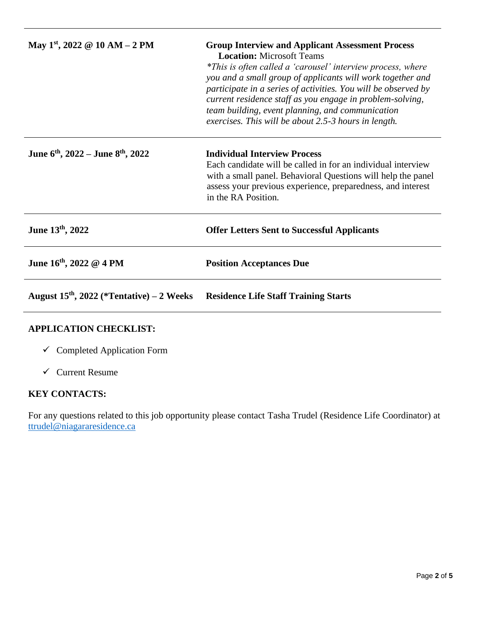| May 1 <sup>st</sup> , 2022 @ 10 AM - 2 PM                 | <b>Group Interview and Applicant Assessment Process</b><br><b>Location:</b> Microsoft Teams<br>*This is often called a 'carousel' interview process, where<br>you and a small group of applicants will work together and<br>participate in a series of activities. You will be observed by<br>current residence staff as you engage in problem-solving,<br>team building, event planning, and communication<br>exercises. This will be about 2.5-3 hours in length. |
|-----------------------------------------------------------|---------------------------------------------------------------------------------------------------------------------------------------------------------------------------------------------------------------------------------------------------------------------------------------------------------------------------------------------------------------------------------------------------------------------------------------------------------------------|
| June 6 <sup>th</sup> , 2022 – June 8 <sup>th</sup> , 2022 | <b>Individual Interview Process</b><br>Each candidate will be called in for an individual interview<br>with a small panel. Behavioral Questions will help the panel<br>assess your previous experience, preparedness, and interest<br>in the RA Position.                                                                                                                                                                                                           |
| June 13th, 2022                                           | <b>Offer Letters Sent to Successful Applicants</b>                                                                                                                                                                                                                                                                                                                                                                                                                  |
| June $16^{th}$ , 2022 @ 4 PM                              | <b>Position Acceptances Due</b>                                                                                                                                                                                                                                                                                                                                                                                                                                     |
| August $15th$ , 2022 (*Tentative) – 2 Weeks               | <b>Residence Life Staff Training Starts</b>                                                                                                                                                                                                                                                                                                                                                                                                                         |

### **APPLICATION CHECKLIST:**

- ✓ Completed Application Form
- $\checkmark$  Current Resume

## **KEY CONTACTS:**

For any questions related to this job opportunity please contact Tasha Trudel (Residence Life Coordinator) at [ttrudel@niagararesidence.ca](mailto:ttrudel@niagararesidence.ca)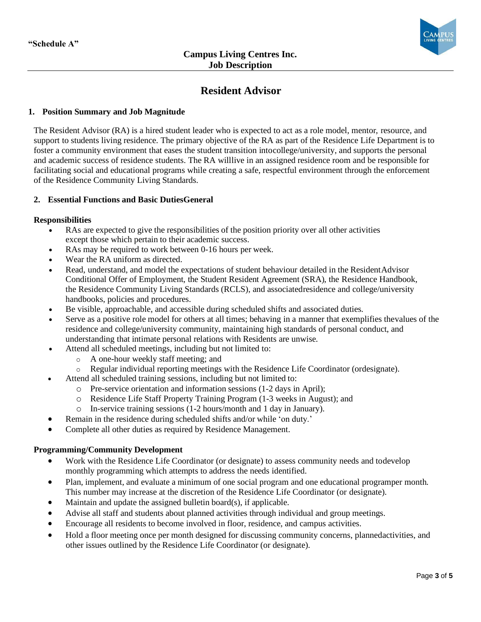

## **Resident Advisor**

#### **1. Position Summary and Job Magnitude**

The Resident Advisor (RA) is a hired student leader who is expected to act as a role model, mentor, resource, and support to students living residence. The primary objective of the RA as part of the Residence Life Department is to foster a community environment that eases the student transition intocollege/university, and supports the personal and academic success of residence students. The RA willlive in an assigned residence room and be responsible for facilitating social and educational programs while creating a safe, respectful environment through the enforcement of the Residence Community Living Standards.

#### **2. Essential Functions and Basic DutiesGeneral**

#### **Responsibilities**

- RAs are expected to give the responsibilities of the position priority over all other activities except those which pertain to their academic success.
- RAs may be required to work between 0-16 hours per week.
- Wear the RA uniform as directed.
- Read, understand, and model the expectations of student behaviour detailed in the ResidentAdvisor Conditional Offer of Employment, the Student Resident Agreement (SRA), the Residence Handbook, the Residence Community Living Standards (RCLS), and associatedresidence and college/university handbooks, policies and procedures.
- Be visible, approachable, and accessible during scheduled shifts and associated duties.
- Serve as a positive role model for others at all times; behaving in a manner that exemplifies thevalues of the residence and college/university community, maintaining high standards of personal conduct, and understanding that intimate personal relations with Residents are unwise.
	- Attend all scheduled meetings, including but not limited to:
		- o A one-hour weekly staff meeting; and
		- $\circ$  Regular individual reporting meetings with the Residence Life Coordinator (ordesignate).
- Attend all scheduled training sessions, including but not limited to:
	- o Pre-service orientation and information sessions (1-2 days in April);
	- o Residence Life Staff Property Training Program (1-3 weeks in August); and
	- o In-service training sessions (1-2 hours/month and 1 day in January).
- Remain in the residence during scheduled shifts and/or while 'on duty.'
- Complete all other duties as required by Residence Management.

#### **Programming/Community Development**

- Work with the Residence Life Coordinator (or designate) to assess community needs and todevelop monthly programming which attempts to address the needs identified.
- Plan, implement, and evaluate a minimum of one social program and one educational programper month. This number may increase at the discretion of the Residence Life Coordinator (or designate).
- Maintain and update the assigned bulletin board(s), if applicable.
- Advise all staff and students about planned activities through individual and group meetings.
- Encourage all residents to become involved in floor, residence, and campus activities.
- Hold a floor meeting once per month designed for discussing community concerns, planned activities, and other issues outlined by the Residence Life Coordinator (or designate).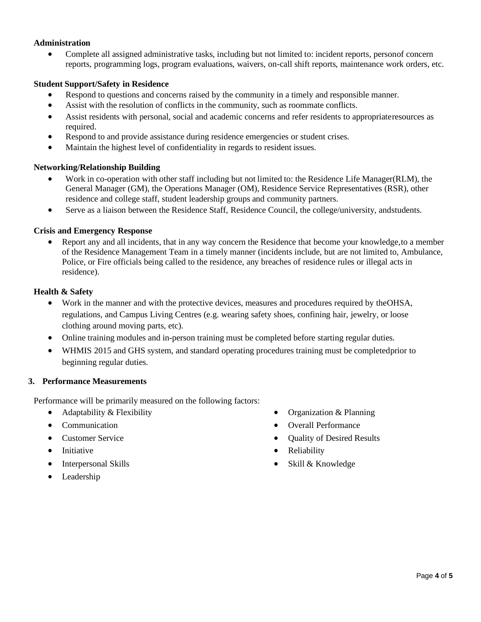#### **Administration**

• Complete all assigned administrative tasks, including but not limited to: incident reports, personof concern reports, programming logs, program evaluations, waivers, on-call shift reports, maintenance work orders, etc.

#### **Student Support/Safety in Residence**

- Respond to questions and concerns raised by the community in a timely and responsible manner.
- Assist with the resolution of conflicts in the community, such as roommate conflicts.
- Assist residents with personal, social and academic concerns and refer residents to appropriateresources as required.
- Respond to and provide assistance during residence emergencies or student crises.
- Maintain the highest level of confidentiality in regards to resident issues.

#### **Networking/Relationship Building**

- Work in co-operation with other staff including but not limited to: the Residence Life Manager(RLM), the General Manager (GM), the Operations Manager (OM), Residence Service Representatives (RSR), other residence and college staff, student leadership groups and community partners.
- Serve as a liaison between the Residence Staff, Residence Council, the college/university, and students.

#### **Crisis and Emergency Response**

• Report any and all incidents, that in any way concern the Residence that become your knowledge, to a member of the Residence Management Team in a timely manner (incidents include, but are not limited to, Ambulance, Police, or Fire officials being called to the residence, any breaches of residence rules or illegal acts in residence).

#### **Health & Safety**

- Work in the manner and with the protective devices, measures and procedures required by theOHSA, regulations, and Campus Living Centres (e.g. wearing safety shoes, confining hair, jewelry, or loose clothing around moving parts, etc).
- Online training modules and in-person training must be completed before starting regular duties.
- WHMIS 2015 and GHS system, and standard operating procedures training must be completedprior to beginning regular duties.

#### **3. Performance Measurements**

Performance will be primarily measured on the following factors:

- Adaptability & Flexibility
- Communication
- Customer Service
- Initiative
- Interpersonal Skills
- Leadership
- Organization & Planning
- Overall Performance
- Quality of Desired Results
- Reliability
- Skill & Knowledge